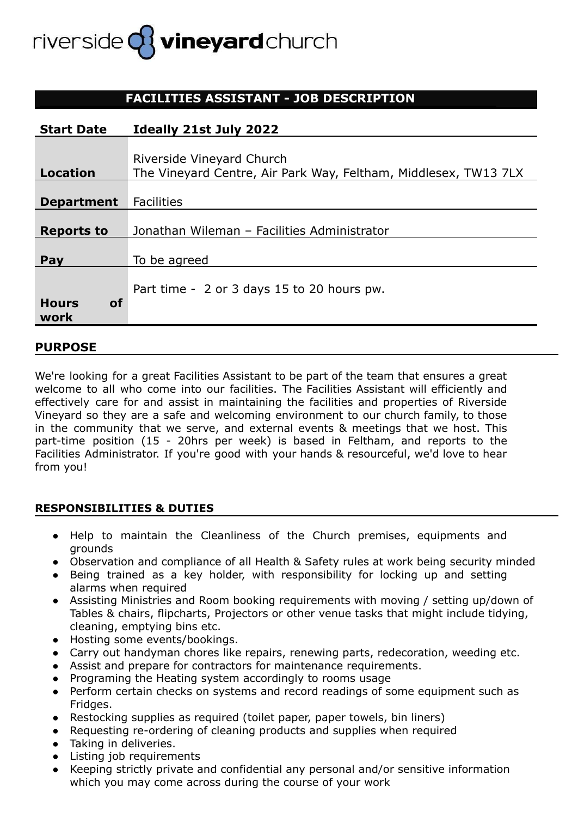# riverside **Q3** vineyard church

## **FACILITIES ASSISTANT - JOB DESCRIPTION**

| <b>Start Date</b>         | Ideally 21st July 2022                                          |
|---------------------------|-----------------------------------------------------------------|
|                           |                                                                 |
|                           | Riverside Vineyard Church                                       |
| <b>Location</b>           | The Vineyard Centre, Air Park Way, Feltham, Middlesex, TW13 7LX |
|                           |                                                                 |
| <b>Department</b>         | <b>Facilities</b>                                               |
|                           |                                                                 |
| <b>Reports to</b>         | Jonathan Wileman - Facilities Administrator                     |
|                           |                                                                 |
| Pay                       | To be agreed                                                    |
|                           |                                                                 |
|                           | Part time - 2 or 3 days 15 to 20 hours pw.                      |
| <b>Hours</b><br><b>of</b> |                                                                 |
| work                      |                                                                 |

### **PURPOSE**

We're looking for a great Facilities Assistant to be part of the team that ensures a great welcome to all who come into our facilities. The Facilities Assistant will efficiently and effectively care for and assist in maintaining the facilities and properties of Riverside Vineyard so they are a safe and welcoming environment to our church family, to those in the community that we serve, and external events & meetings that we host. This part-time position (15 - 20hrs per week) is based in Feltham, and reports to the Facilities Administrator. If you're good with your hands & resourceful, we'd love to hear from you!

#### **RESPONSIBILITIES & DUTIES**

- Help to maintain the Cleanliness of the Church premises, equipments and grounds
- Observation and compliance of all Health & Safety rules at work being security minded
- Being trained as a key holder, with responsibility for locking up and setting alarms when required
- Assisting Ministries and Room booking requirements with moving / setting up/down of Tables & chairs, flipcharts, Projectors or other venue tasks that might include tidying, cleaning, emptying bins etc.
- Hosting some events/bookings.
- Carry out handyman chores like repairs, renewing parts, redecoration, weeding etc.
- Assist and prepare for contractors for maintenance requirements.
- Programing the Heating system accordingly to rooms usage
- Perform certain checks on systems and record readings of some equipment such as Fridges.
- Restocking supplies as required (toilet paper, paper towels, bin liners)
- Requesting re-ordering of cleaning products and supplies when required
- Taking in deliveries.
- Listing job requirements
- Keeping strictly private and confidential any personal and/or sensitive information which you may come across during the course of your work